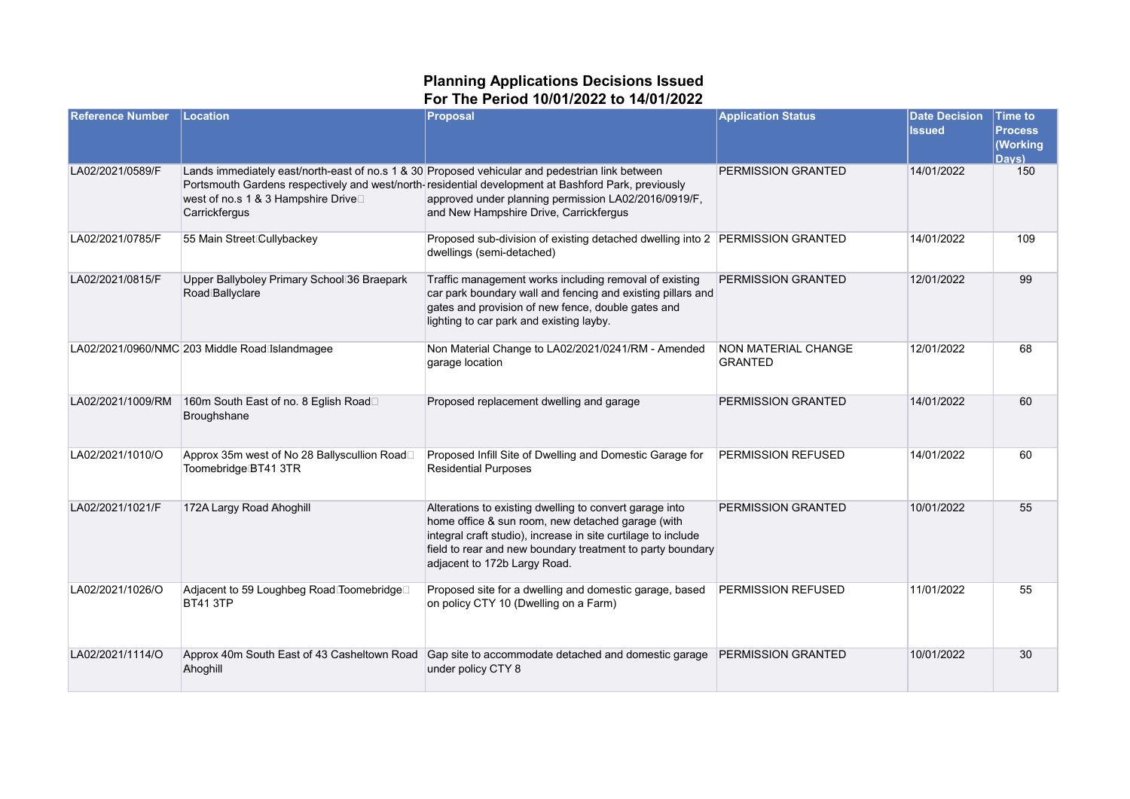## **Planning Applications Decisions Issued For The Period 10/01/2022 to 14/01/2022**

| <b>Reference Number</b> | Location                                                                                                                                                | <b>Proposal</b>                                                                                                                                                                                                                                                             | <b>Application Status</b>                    | <b>Date Decision</b><br><b>Issued</b> | <b>Time to</b><br><b>Process</b><br>(Working<br>Davs) |
|-------------------------|---------------------------------------------------------------------------------------------------------------------------------------------------------|-----------------------------------------------------------------------------------------------------------------------------------------------------------------------------------------------------------------------------------------------------------------------------|----------------------------------------------|---------------------------------------|-------------------------------------------------------|
| LA02/2021/0589/F        | Lands immediately east/north-east of no.s 1 & 30 Proposed vehicular and pedestrian link between<br>west of no.s 1 & 3 Hampshire Drive□<br>Carrickfergus | Portsmouth Gardens respectively and west/north-residential development at Bashford Park, previously<br>approved under planning permission LA02/2016/0919/F,<br>and New Hampshire Drive, Carrickfergus                                                                       | PERMISSION GRANTED                           | 14/01/2022                            | 150                                                   |
| LA02/2021/0785/F        | 55 Main Street Cullybackey                                                                                                                              | Proposed sub-division of existing detached dwelling into 2   PERMISSION GRANTED<br>dwellings (semi-detached)                                                                                                                                                                |                                              | 14/01/2022                            | 109                                                   |
| LA02/2021/0815/F        | Upper Ballyboley Primary School 36 Braepark<br>Road Ballyclare                                                                                          | Traffic management works including removal of existing<br>car park boundary wall and fencing and existing pillars and<br>gates and provision of new fence, double gates and<br>lighting to car park and existing layby.                                                     | PERMISSION GRANTED                           | 12/01/2022                            | 99                                                    |
|                         | LA02/2021/0960/NMC 203 Middle Road Islandmagee                                                                                                          | Non Material Change to LA02/2021/0241/RM - Amended<br>garage location                                                                                                                                                                                                       | <b>NON MATERIAL CHANGE</b><br><b>GRANTED</b> | 12/01/2022                            | 68                                                    |
| LA02/2021/1009/RM       | 160m South East of no. 8 Eglish Road□<br>Broughshane                                                                                                    | Proposed replacement dwelling and garage                                                                                                                                                                                                                                    | PERMISSION GRANTED                           | 14/01/2022                            | 60                                                    |
| LA02/2021/1010/O        | Approx 35m west of No 28 Ballyscullion Road□<br>Toomebridge BT41 3TR                                                                                    | Proposed Infill Site of Dwelling and Domestic Garage for<br><b>Residential Purposes</b>                                                                                                                                                                                     | PERMISSION REFUSED                           | 14/01/2022                            | 60                                                    |
| LA02/2021/1021/F        | 172A Largy Road Ahoghill                                                                                                                                | Alterations to existing dwelling to convert garage into<br>home office & sun room, new detached garage (with<br>integral craft studio), increase in site curtilage to include<br>field to rear and new boundary treatment to party boundary<br>adjacent to 172b Largy Road. | PERMISSION GRANTED                           | 10/01/2022                            | 55                                                    |
| LA02/2021/1026/O        | Adjacent to 59 Loughbeg Road Toomebridge□<br><b>BT41 3TP</b>                                                                                            | Proposed site for a dwelling and domestic garage, based<br>on policy CTY 10 (Dwelling on a Farm)                                                                                                                                                                            | PERMISSION REFUSED                           | 11/01/2022                            | 55                                                    |
| LA02/2021/1114/O        | Approx 40m South East of 43 Casheltown Road<br>Ahoghill                                                                                                 | Gap site to accommodate detached and domestic garage<br>under policy CTY 8                                                                                                                                                                                                  | PERMISSION GRANTED                           | 10/01/2022                            | 30                                                    |